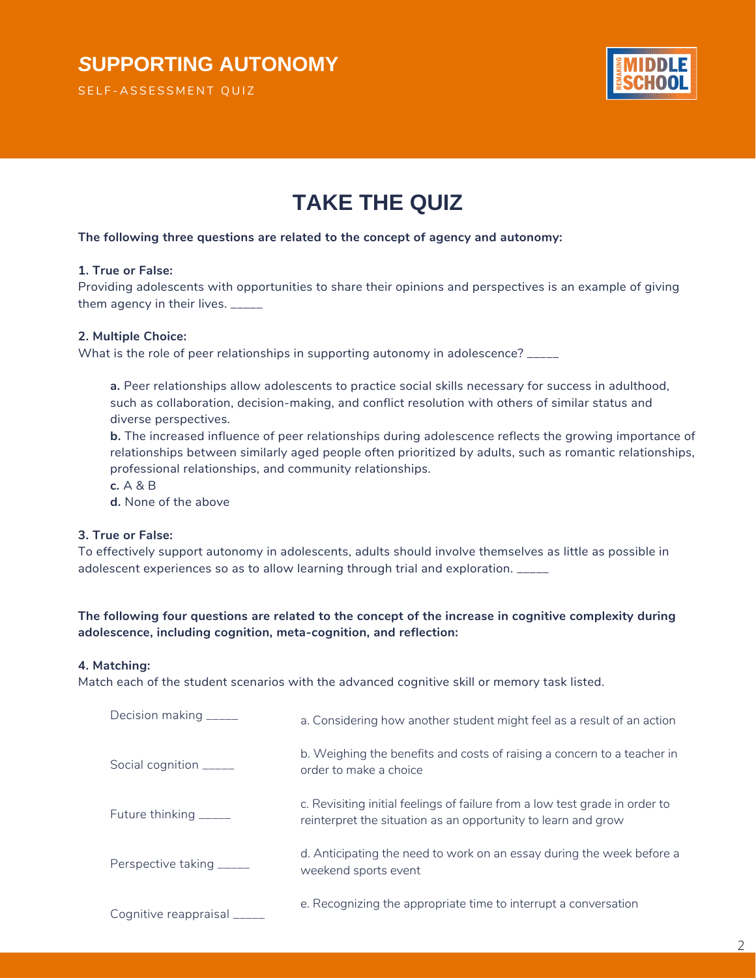

# **TAKE THE QUIZ**

### **The following three questions are related to the concept of agency and autonomy:**

#### **1. True or False:**

Providing adolescents with opportunities to share their opinions and perspectives is an example of giving them agency in their lives. \_\_\_\_\_

### **2. Multiple Choice:**

What is the role of peer relationships in supporting autonomy in adolescence? \_\_\_\_\_

**a.** Peer relationships allow adolescents to practice social skills necessary for success in adulthood, such as collaboration, decision-making, and conflict resolution with others of similar status and diverse perspectives.

**b.** The increased influence of peer relationships during adolescence reflects the growing importance of relationships between similarly aged people often prioritized by adults, such as romantic relationships, professional relationships, and community relationships.

**c.** A & B

**d.** None of the above

## **3. True or False:**

To effectively support autonomy in adolescents, adults should involve themselves as little as possible in adolescent experiences so as to allow learning through trial and exploration. \_\_\_\_\_

## **The following four questions are related to the concept of the increase in cognitive complexity during adolescence, including cognition, meta-cognition, and reflection:**

#### **4. Matching:**

Match each of the student scenarios with the advanced cognitive skill or memory task listed.

| Decision making _____       | a. Considering how another student might feel as a result of an action                                                                       |
|-----------------------------|----------------------------------------------------------------------------------------------------------------------------------------------|
| Social cognition _____      | b. Weighing the benefits and costs of raising a concern to a teacher in<br>order to make a choice                                            |
| Future thinking _____       | c. Revisiting initial feelings of failure from a low test grade in order to<br>reinterpret the situation as an opportunity to learn and grow |
| Perspective taking _____    | d. Anticipating the need to work on an essay during the week before a<br>weekend sports event                                                |
| Cognitive reappraisal _____ | e. Recognizing the appropriate time to interrupt a conversation                                                                              |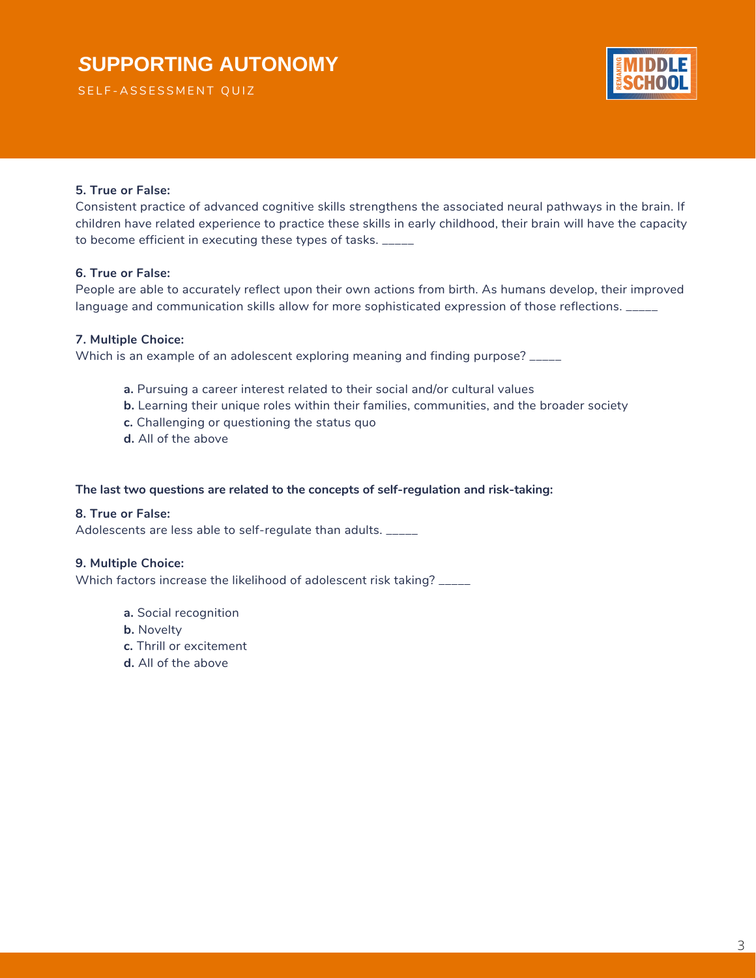SELF-ASSESSMENT QUIZ



## **5. True or False:**

Consistent practice of advanced cognitive skills strengthens the associated neural pathways in the brain. If children have related experience to practice these skills in early childhood, their brain will have the capacity to become efficient in executing these types of tasks.

## **6. True or False:**

People are able to accurately reflect upon their own actions from birth. As humans develop, their improved language and communication skills allow for more sophisticated expression of those reflections. \_\_\_\_\_

## **7. Multiple Choice:**

Which is an example of an adolescent exploring meaning and finding purpose? \_\_\_\_\_

- **a.** Pursuing a career interest related to their social and/or cultural values
- **b.** Learning their unique roles within their families, communities, and the broader society
- **c.** Challenging or questioning the status quo
- **d.** All of the above

## **The last two questions are related to the concepts of self-regulation and risk-taking:**

### **8. True or False:**

Adolescents are less able to self-regulate than adults. \_\_\_\_\_

### **9. Multiple Choice:**

Which factors increase the likelihood of adolescent risk taking? \_\_\_\_\_

- **a.** Social recognition
- **b.** Novelty
- **c.** Thrill or excitement
- **d.** All of the above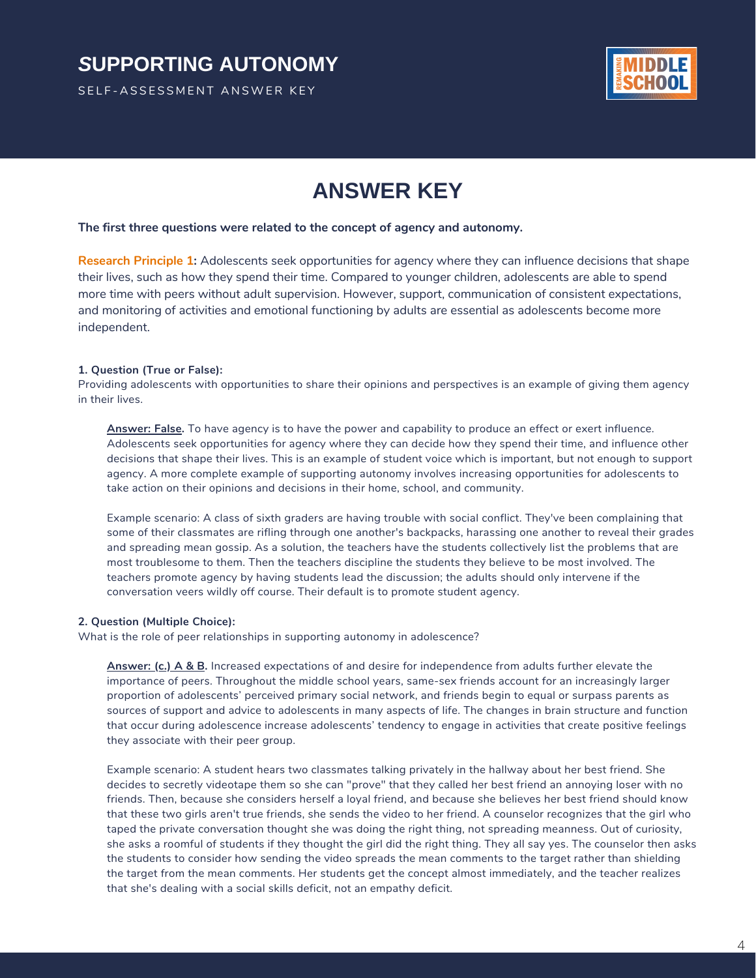SELF-ASSESSMENT ANSWER KEY



## **ANSWER KEY**

#### **The first three questions were related to the concept of agency and autonomy.**

**Research Principle 1:** Adolescents seek opportunities for agency where they can influence decisions that shape their lives, such as how they spend their time. Compared to younger children, adolescents are able to spend more time with peers without adult supervision. However, support, communication of consistent expectations, and monitoring of activities and emotional functioning by adults are essential as adolescents become more independent.

#### **1. Question (True or False):**

Providing adolescents with opportunities to share their opinions and perspectives is an example of giving them agency in their lives.

**Answer: False.** To have agency is to have the power and capability to produce an effect or exert influence. Adolescents seek opportunities for agency where they can decide how they spend their time, and influence other decisions that shape their lives. This is an example of student voice which is important, but not enough to support agency. A more complete example of supporting autonomy involves increasing opportunities for adolescents to take action on their opinions and decisions in their home, school, and community.

Example scenario: A class of sixth graders are having trouble with social conflict. They've been complaining that some of their classmates are rifling through one another's backpacks, harassing one another to reveal their grades and spreading mean gossip. As a solution, the teachers have the students collectively list the problems that are most troublesome to them. Then the teachers discipline the students they believe to be most involved. The teachers promote agency by having students lead the discussion; the adults should only intervene if the conversation veers wildly off course. Their default is to promote student agency.

#### **2. Question (Multiple Choice):**

What is the role of peer relationships in supporting autonomy in adolescence?

**Answer: (c.) A & B.** Increased expectations of and desire for independence from adults further elevate the importance of peers. Throughout the middle school years, same-sex friends account for an increasingly larger proportion of adolescents' perceived primary social network, and friends begin to equal or surpass parents as sources of support and advice to adolescents in many aspects of life. The changes in brain structure and function that occur during adolescence increase adolescents' tendency to engage in activities that create positive feelings they associate with their peer group.

Example scenario: A student hears two classmates talking privately in the hallway about her best friend. She decides to secretly videotape them so she can "prove" that they called her best friend an annoying loser with no friends. Then, because she considers herself a loyal friend, and because she believes her best friend should know that these two girls aren't true friends, she sends the video to her friend. A counselor recognizes that the girl who taped the private conversation thought she was doing the right thing, not spreading meanness. Out of curiosity, she asks a roomful of students if they thought the girl did the right thing. They all say yes. The counselor then asks the students to consider how sending the video spreads the mean comments to the target rather than shielding the target from the mean comments. Her students get the concept almost immediately, and the teacher realizes that she's dealing with a social skills deficit, not an empathy deficit.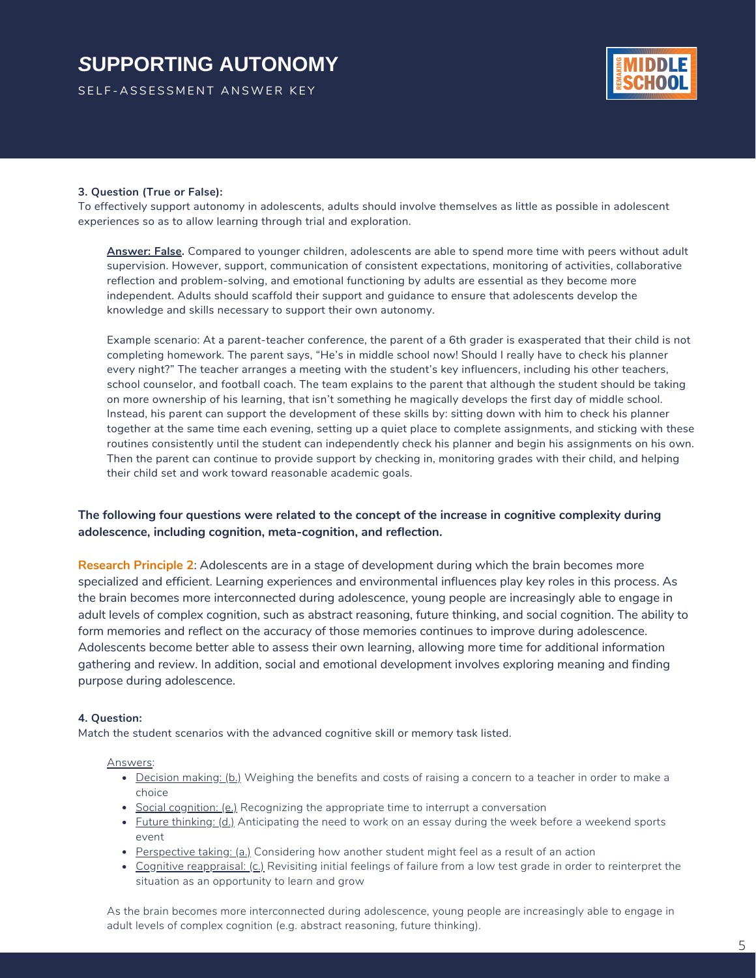SELF-ASSESSMENT ANSWER KEY



#### **3. Question (True or False):**

To effectively support autonomy in adolescents, adults should involve themselves as little as possible in adolescent experiences so as to allow learning through trial and exploration.

**Answer: False.** Compared to younger children, adolescents are able to spend more time with peers without adult supervision. However, support, communication of consistent expectations, monitoring of activities, collaborative reflection and problem-solving, and emotional functioning by adults are essential as they become more independent. Adults should scaffold their support and guidance to ensure that adolescents develop the knowledge and skills necessary to support their own autonomy.

Example scenario: At a parent-teacher conference, the parent of a 6th grader is exasperated that their child is not completing homework. The parent says, "He's in middle school now! Should I really have to check his planner every night?" The teacher arranges a meeting with the student's key influencers, including his other teachers, school counselor, and football coach. The team explains to the parent that although the student should be taking on more ownership of his learning, that isn't something he magically develops the first day of middle school. Instead, his parent can support the development of these skills by: sitting down with him to check his planner together at the same time each evening, setting up a quiet place to complete assignments, and sticking with these routines consistently until the student can independently check his planner and begin his assignments on his own. Then the parent can continue to provide support by checking in, monitoring grades with their child, and helping their child set and work toward reasonable academic goals.

### **The following four questions were related to the concept of the increase in cognitive complexity during adolescence, including cognition, meta-cognition, and reflection.**

**Research Principle 2**: Adolescents are in a stage of development during which the brain becomes more specialized and efficient. Learning experiences and environmental influences play key roles in this process. As the brain becomes more interconnected during adolescence, young people are increasingly able to engage in adult levels of complex cognition, such as abstract reasoning, future thinking, and social cognition. The ability to form memories and reflect on the accuracy of those memories continues to improve during adolescence. Adolescents become better able to assess their own learning, allowing more time for additional information gathering and review. In addition, social and emotional development involves exploring meaning and finding purpose during adolescence.

#### **4. Question:**

Match the student scenarios with the advanced cognitive skill or memory task listed.

#### Answers:

- Decision making: (b.) Weighing the benefits and costs of raising a concern to a teacher in order to make a choice
- **Social cognition: (e.)** Recognizing the appropriate time to interrupt a conversation
- Future thinking: (d.) Anticipating the need to work on an essay during the week before a weekend sports event
- Perspective taking: (a.) Considering how another student might feel as a result of an action
- Cognitive reappraisal: (c.) Revisiting initial feelings of failure from a low test grade in order to reinterpret the situation as an opportunity to learn and grow

As the brain becomes more interconnected during adolescence, young people are increasingly able to engage in adult levels of complex cognition (e.g. abstract reasoning, future thinking).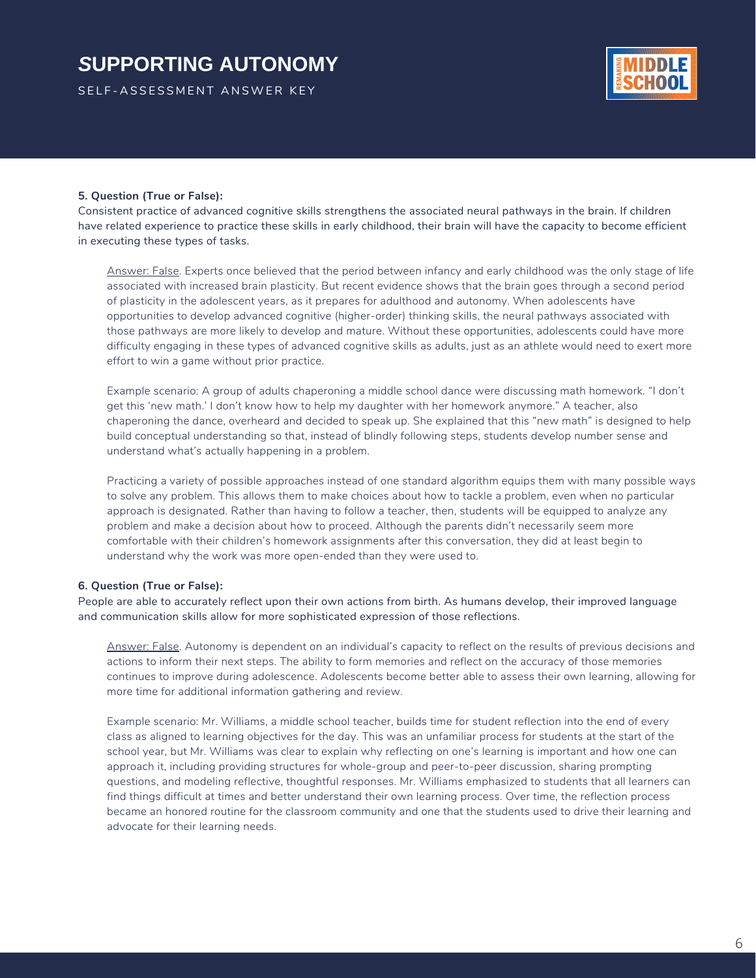SELF-ASSESSMENT ANSWER KEY



#### **5. Question (True or False):**

Consistent practice of advanced cognitive skills strengthens the associated neural pathways in the brain. If children have related experience to practice these skills in early childhood, their brain will have the capacity to become efficient in executing these types of tasks.

Answer: False. Experts once believed that the period between infancy and early childhood was the only stage of life associated with increased brain plasticity. But recent evidence shows that the brain goes through a second period of plasticity in the adolescent years, as it prepares for adulthood and autonomy. When adolescents have opportunities to develop advanced cognitive (higher-order) thinking skills, the neural pathways associated with those pathways are more likely to develop and mature. Without these opportunities, adolescents could have more difficulty engaging in these types of advanced cognitive skills as adults, just as an athlete would need to exert more effort to win a game without prior practice.

Example scenario: A group of adults chaperoning a middle school dance were discussing math homework. "I don't get this 'new math.' I don't know how to help my daughter with her homework anymore." A teacher, also chaperoning the dance, overheard and decided to speak up. She explained that this "new math" is designed to help build conceptual understanding so that, instead of blindly following steps, students develop number sense and understand what's actually happening in a problem.

Practicing a variety of possible approaches instead of one standard algorithm equips them with many possible ways to solve any problem. This allows them to make choices about how to tackle a problem, even when no particular approach is designated. Rather than having to follow a teacher, then, students will be equipped to analyze any problem and make a decision about how to proceed. Although the parents didn't necessarily seem more comfortable with their children's homework assignments after this conversation, they did at least begin to understand why the work was more open-ended than they were used to.

#### **6. Question (True or False):**

People are able to accurately reflect upon their own actions from birth. As humans develop, their improved language and communication skills allow for more sophisticated expression of those reflections.

Answer: False. Autonomy is dependent on an individual's capacity to reflect on the results of previous decisions and actions to inform their next steps. The ability to form memories and reflect on the accuracy of those memories continues to improve during adolescence. Adolescents become better able to assess their own learning, allowing for more time for additional information gathering and review.

Example scenario: Mr. Williams, a middle school teacher, builds time for student reflection into the end of every class as aligned to learning objectives for the day. This was an unfamiliar process for students at the start of the school year, but Mr. Williams was clear to explain why reflecting on one's learning is important and how one can approach it, including providing structures for whole-group and peer-to-peer discussion, sharing prompting questions, and modeling reflective, thoughtful responses. Mr. Williams emphasized to students that all learners can find things difficult at times and better understand their own learning process. Over time, the reflection process became an honored routine for the classroom community and one that the students used to drive their learning and advocate for their learning needs.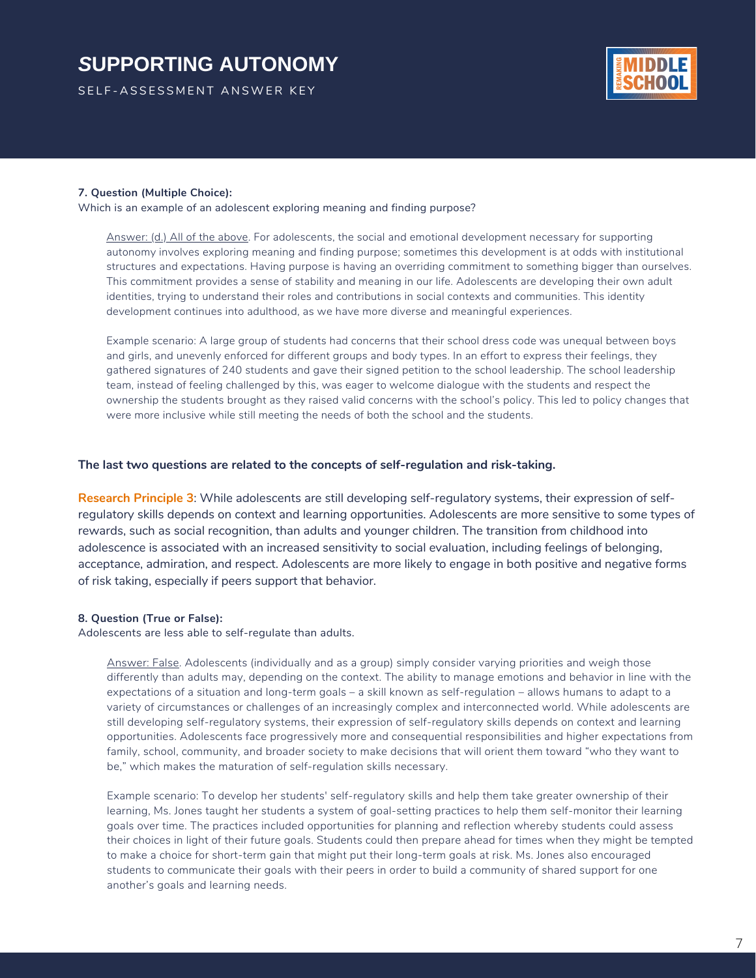SELF-ASSESSMENT ANSWER KEY



#### **7. Question (Multiple Choice):**

Which is an example of an adolescent exploring meaning and finding purpose?

Answer: (d.) All of the above. For adolescents, the social and emotional development necessary for supporting autonomy involves exploring meaning and finding purpose; sometimes this development is at odds with institutional structures and expectations. Having purpose is having an overriding commitment to something bigger than ourselves. This commitment provides a sense of stability and meaning in our life. Adolescents are developing their own adult identities, trying to understand their roles and contributions in social contexts and communities. This identity development continues into adulthood, as we have more diverse and meaningful experiences.

Example scenario: A large group of students had concerns that their school dress code was unequal between boys and girls, and unevenly enforced for different groups and body types. In an effort to express their feelings, they gathered signatures of 240 students and gave their signed petition to the school leadership. The school leadership team, instead of feeling challenged by this, was eager to welcome dialogue with the students and respect the ownership the students brought as they raised valid concerns with the school's policy. This led to policy changes that were more inclusive while still meeting the needs of both the school and the students.

#### **The last two questions are related to the concepts of self-regulation and risk-taking.**

**Research Principle 3**: While adolescents are still developing self-regulatory systems, their expression of selfregulatory skills depends on context and learning opportunities. Adolescents are more sensitive to some types of rewards, such as social recognition, than adults and younger children. The transition from childhood into adolescence is associated with an increased sensitivity to social evaluation, including feelings of belonging, acceptance, admiration, and respect. Adolescents are more likely to engage in both positive and negative forms of risk taking, especially if peers support that behavior.

#### **8. Question (True or False):**

Adolescents are less able to self-regulate than adults.

Answer: False. Adolescents (individually and as a group) simply consider varying priorities and weigh those differently than adults may, depending on the context. The ability to manage emotions and behavior in line with the expectations of a situation and long-term goals – a skill known as self-regulation – allows humans to adapt to a variety of circumstances or challenges of an increasingly complex and interconnected world. While adolescents are still developing self-regulatory systems, their expression of self-regulatory skills depends on context and learning opportunities. Adolescents face progressively more and consequential responsibilities and higher expectations from family, school, community, and broader society to make decisions that will orient them toward "who they want to be," which makes the maturation of self-regulation skills necessary.

Example scenario: To develop her students' self-regulatory skills and help them take greater ownership of their learning, Ms. Jones taught her students a system of goal-setting practices to help them self-monitor their learning goals over time. The practices included opportunities for planning and reflection whereby students could assess their choices in light of their future goals. Students could then prepare ahead for times when they might be tempted to make a choice for short-term gain that might put their long-term goals at risk. Ms. Jones also encouraged students to communicate their goals with their peers in order to build a community of shared support for one another's goals and learning needs.